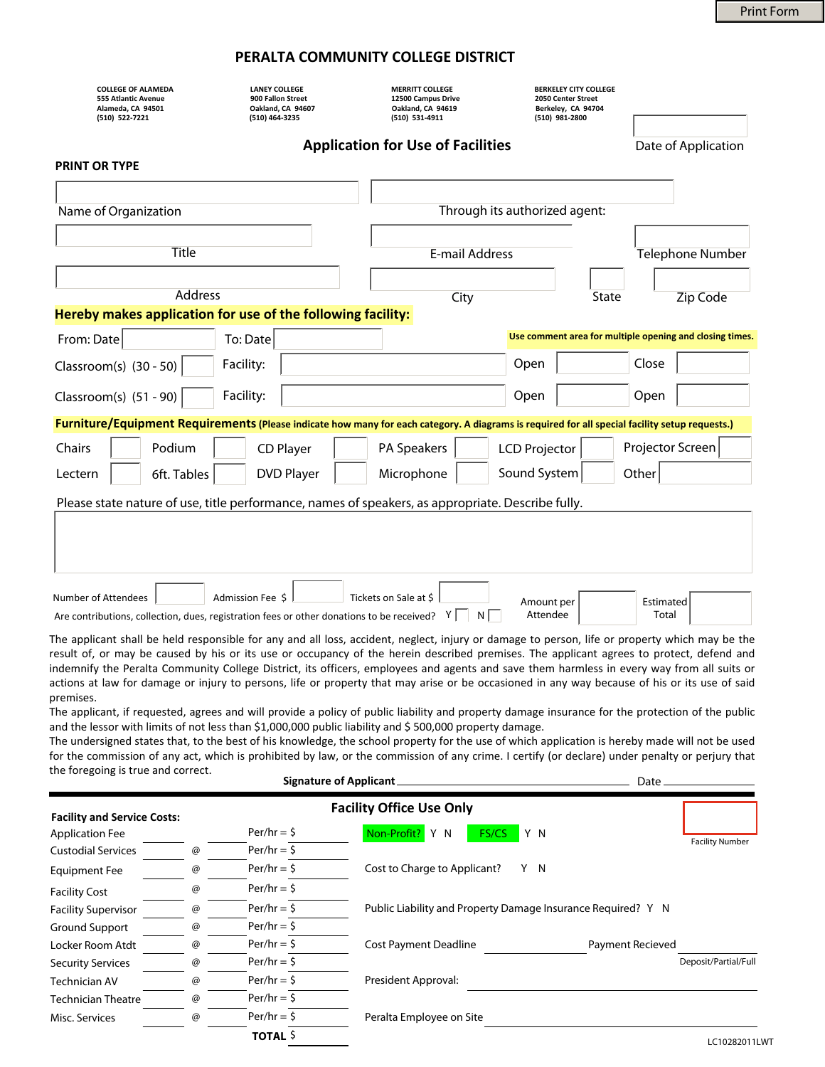## **PERALTA COMMUNITY COLLEGE DISTRICT**

| <b>COLLEGE OF ALAMEDA</b><br>555 Atlantic Avenue<br>Alameda, CA 94501<br>(510) 522-7221                                                        | <b>LANEY COLLEGE</b><br>900 Fallon Street<br>Oakland, CA 94607<br>(510) 464-3235 | <b>MERRITT COLLEGE</b><br>12500 Campus Drive<br>Oakland, CA 94619<br>(510) 531-4911 | <b>BERKELEY CITY COLLEGE</b><br>2050 Center Street<br>Berkeley, CA 94704<br>(510) 981-2800 |                                                          |  |  |  |
|------------------------------------------------------------------------------------------------------------------------------------------------|----------------------------------------------------------------------------------|-------------------------------------------------------------------------------------|--------------------------------------------------------------------------------------------|----------------------------------------------------------|--|--|--|
|                                                                                                                                                |                                                                                  | <b>Application for Use of Facilities</b>                                            |                                                                                            | Date of Application                                      |  |  |  |
| <b>PRINT OR TYPE</b>                                                                                                                           |                                                                                  |                                                                                     |                                                                                            |                                                          |  |  |  |
|                                                                                                                                                |                                                                                  |                                                                                     |                                                                                            |                                                          |  |  |  |
| Name of Organization                                                                                                                           |                                                                                  | Through its authorized agent:                                                       |                                                                                            |                                                          |  |  |  |
|                                                                                                                                                |                                                                                  |                                                                                     |                                                                                            |                                                          |  |  |  |
| Title                                                                                                                                          |                                                                                  | <b>E-mail Address</b>                                                               |                                                                                            | <b>Telephone Number</b>                                  |  |  |  |
| <b>Address</b>                                                                                                                                 |                                                                                  |                                                                                     |                                                                                            |                                                          |  |  |  |
| City<br>State<br>Zip Code<br>Hereby makes application for use of the following facility:                                                       |                                                                                  |                                                                                     |                                                                                            |                                                          |  |  |  |
| From: Date                                                                                                                                     | To: Date                                                                         |                                                                                     |                                                                                            | Use comment area for multiple opening and closing times. |  |  |  |
| Classroom(s) (30 - 50)                                                                                                                         | Facility:                                                                        |                                                                                     | Open<br>$\blacktriangledown$                                                               | Close<br>$\blacktriangledown$                            |  |  |  |
|                                                                                                                                                |                                                                                  |                                                                                     |                                                                                            |                                                          |  |  |  |
| Classroom(s) (51 - 90)                                                                                                                         | Facility:                                                                        |                                                                                     | Open                                                                                       | Open<br>▼∣<br>$\vert \blacktriangledown \vert$           |  |  |  |
| Furniture/Equipment Requirements (Please indicate how many for each category. A diagrams is required for all special facility setup requests.) |                                                                                  |                                                                                     |                                                                                            |                                                          |  |  |  |
| Chairs<br>Podium                                                                                                                               | <b>CD Player</b>                                                                 | PA Speakers                                                                         | <b>LCD Projector</b>                                                                       | Projector Screen                                         |  |  |  |
| 6ft. Tables<br>Lectern                                                                                                                         | <b>DVD Player</b>                                                                | Microphone                                                                          | Sound System                                                                               | Other                                                    |  |  |  |
| Please state nature of use, title performance, names of speakers, as appropriate. Describe fully.                                              |                                                                                  |                                                                                     |                                                                                            |                                                          |  |  |  |
|                                                                                                                                                |                                                                                  |                                                                                     |                                                                                            |                                                          |  |  |  |
|                                                                                                                                                |                                                                                  |                                                                                     |                                                                                            |                                                          |  |  |  |
|                                                                                                                                                |                                                                                  |                                                                                     |                                                                                            |                                                          |  |  |  |
| Number of Attendees                                                                                                                            | Admission Fee \$                                                                 | Tickets on Sale at \$                                                               |                                                                                            |                                                          |  |  |  |
| Are contributions, collection, dues, registration fees or other donations to be received?                                                      |                                                                                  | Νİ<br>Y                                                                             | Amount per<br>Attendee                                                                     | Estimated<br>Total                                       |  |  |  |

The applicant shall be held responsible for any and all loss, accident, neglect, injury or damage to person, life or property which may be the result of, or may be caused by his or its use or occupancy of the herein described premises. The applicant agrees to protect, defend and indemnify the Peralta Community College District, its officers, employees and agents and save them harmless in every way from all suits or actions at law for damage or injury to persons, life or property that may arise or be occasioned in any way because of his or its use of said premises.

The applicant, if requested, agrees and will provide a policy of public liability and property damage insurance for the protection of the public and the lessor with limits of not less than \$1,000,000 public liability and \$500,000 property damage.

**Signature of Applicant** - Date -The undersigned states that, to the best of his knowledge, the school property for the use of which application is hereby made will not be used for the commission of any act, which is prohibited by law, or the commission of any crime. I certify (or declare) under penalty or perjury that the foregoing is true and correct.

| <b>Facility and Service Costs:</b> |   |                 | <b>Facility Office Use Only</b>                              |                        |
|------------------------------------|---|-----------------|--------------------------------------------------------------|------------------------|
| <b>Application Fee</b>             |   | $Per/hr = $$    | Non-Profit? Y N<br>Y N<br><b>FS/CS</b>                       |                        |
| <b>Custodial Services</b>          | @ | $Per/hr = $$    |                                                              | <b>Facility Number</b> |
| <b>Equipment Fee</b>               | @ | $Per/hr = 5$    | Y N<br>Cost to Charge to Applicant?                          |                        |
| <b>Facility Cost</b>               | @ | $Per/hr = 5$    |                                                              |                        |
| <b>Facility Supervisor</b>         | @ | $Per/hr = 5$    | Public Liability and Property Damage Insurance Required? Y N |                        |
| Ground Support                     | @ | $Per/hr = $$    |                                                              |                        |
| Locker Room Atdt                   | @ | $Per/hr = $$    | <b>Cost Payment Deadline</b><br><b>Payment Recieved</b>      |                        |
| <b>Security Services</b>           | @ | $Per/hr = $$    |                                                              | Deposit/Partial/Full   |
| <b>Technician AV</b>               | @ | $Per/hr = 5$    | President Approval:                                          |                        |
| <b>Technician Theatre</b>          | @ | $Per/hr = $$    |                                                              |                        |
| Misc. Services                     | @ | $Per/hr = $$    | Peralta Employee on Site                                     |                        |
|                                    |   | <b>TOTAL \$</b> |                                                              | 101022011              |